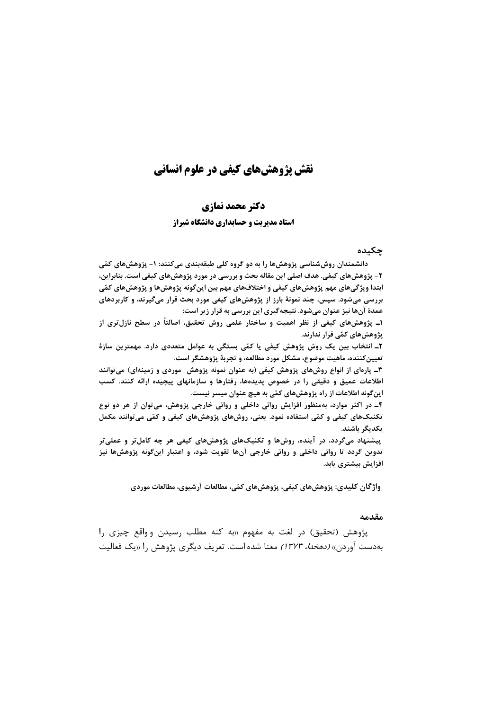# نقش یژوهش های کیفی در علوم انسانی

### دكتر محمد نمازي

#### **استاد مدیریت و حسابداری دانشگاه شیراز**

#### چکیده

دانشمندان روش شناسی پژوهش ها را به دو گروه کلی طبقهبندی می کنند: ۱- پژوهش های کمّی ٢- پژوهشهای کیفی. هدف اصلی این مقاله بحث و بررسی در مورد پژوهشهای کیفی است. بنابراین، ابتدا ویژگیهای مهم پژوهشهای کیفی و اختلافهای مهم بین اینگونه پژوهشها و پژوهشهای کمّی بررسی میشود. سپس، چند نمونهٔ بارز از پژوهشهای کیفی مورد بحث قرار میگیرند، و کاربردهای عمدهٔ آنها نیز عنوان میشود. نتیجهگیری این بررسی به قرار زیر است:

۱ـ پژوهشهای کیفی از نظر اهمیت و ساختار علمی روش تحقیق، اصالتاً در سطح نازل تری از پژوهشهای کمّی قرار ندارند.

۲ـ انتخاب بین یک روش پژوهش کیفی یا کمّی بستگی به عوامل متعددی دارد. مهمترین سازهٔ تعیین کننده، ماهیت موضوع، مشکل مورد مطالعه، و تجربهٔ پژوهشگر است.

۳ـ پارهای از انواع روشهای پژوهش کیفی (به عنوان نمونه پژوهش ً موردی و زمینهای) می توانند اطلاعات عمیق و دقیقی را در خصوص پدیدهها، رفتارها و سازمانهای پیچیده ارائه کنند. کسب اینگونه اطلاعات از راه پژوهشهای کمّی به هیچ عنوان میسر نیست.

۴ـ در اکثر موارد، بهمنظور افزایش روائی داخلی و روائی خارجی پژوهش، می توان از هر دو نوع تکنیکهای کیفی و کمّی استفاده نمود. یعنی، روشهای پژوهشهای کیفی و کمّی میتوانند مکمل يكديگر باشند.

پیشنهاد میگردد، در آینده، روشها و تکنیکهای پژوهشهای کیفی هر چه کاملتر و عملیتر تدوین گردد تا روائی داخلی و روائی خارجی آنها تقویت شود، و اعتبار اینگونه پژوهشها نیز افزایش بیشتری یابد.

واژگان کلیدی: پژوهشهای کیفی، پژوهشهای کمّی، مطالعات آرشیوی، مطالعات موردی

#### مقدمه

پژوهش (تحقیق) در لغت به مفهوم «به کنه مطلب رسیدن وواقع چیزی را بهدست آوردن» *(دهخدا، ۱۳۷۳)* معنا شده است. تعریف دیگری پژوهش را «یک فعالیت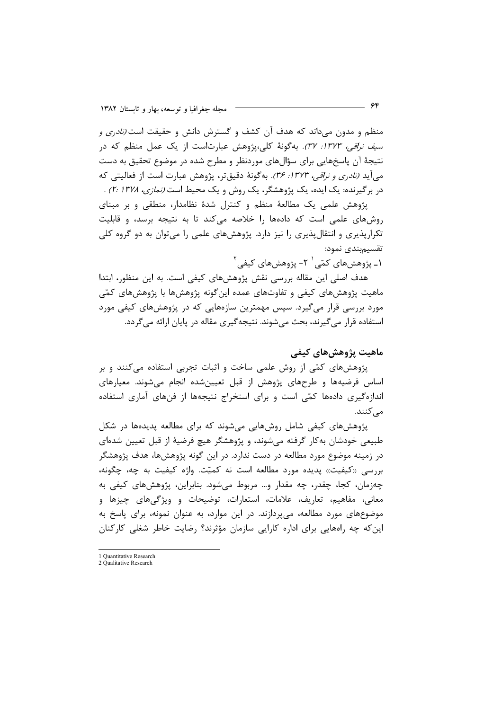منظم و مدون می داند که هدف آن کشف و گسترش دانش و حقیقت است *(نادری و سيف نراقى، ١٣٧٣: ٣٧).* بەگونة كلى،پژوهش عبارتاست از يک عمل منظم كه در نتیجهٔ آن پاسخهایی برای سؤالهای موردنظر و مطرح شده در موضوع تحقیق به دست می آید *(نادری و نراقی، ۱۳۷۳: ۳۶).* بهگونهٔ دقیقتر، پژوهش عبارت است از فعالیتی که در برگیرنده: یک ایده، یک پژوهشگر، یک روش و یک محیط است *(نمازی، ۲۰/ ۲۱۳۷*. پژوهش علمي يک مطالعۀ منظم و کنترل شدۀ نظامدار، منطقي و بر مبناي

روشهای علمی است که دادهها را خلاصه میکند تا به نتیجه برسد، و قابلیت تکرارپذیری و انتقالپذیری را نیز دارد. پژوهشهای علمی را میتوان به دو گروه کلی تقسيمبندى نمود:

۱ـ پژوهشهای کمّی' ۲- پژوهش های کیفے <sup>۲</sup>

هدف اصلی این مقاله بررسی نقش پژوهشهای کیفی است. به این منظور، ابتدا ماهیت پژوهشهای کیفی و تفاوتهای عمده اینگونه پژوهشها با پژوهشهای کمّی مورد بررسی قرار میگیرد. سپس مهمترین سازههایی که در پژوهشهای کیفی مورد استفاده قرار می گیرند، بحث می شوند. نتیجه گیری مقاله در پایان ارائه می گردد.

ماهيت پژوهش هاي کيفي

پژوهشهای کمّی از روش علمی ساخت و اثبات تجربی استفاده میکنند و بر اساس فرضیهها و طرحهای پژوهش از قبل تعیینشده انجام میشوند. معیارهای اندازهگیری دادهها کمّی است و برای استخراج نتیجهها از فنهای آماری استفاده مے کنند.

پژوهشهای کیفی شامل روشهایی می شوند که برای مطالعه پدیدهها در شکل طبیعی خودشان به کار گرفته میشوند، و پژوهشگر هیچ فرضیهٔ از قبل تعیین شدهای در زمینه موضوع مورد مطالعه در دست ندارد. در این گونه پژوهشها، هدف پژوهشگر بررسی «کیفیت» پدیده مورد مطالعه است نه کمیّت. واژه کیفیت به چه، چگونه، چەزمان، كجا، چقدر، چە مقدار و… مربوط مى شود. بنابراين، پژوهش هاى كيفى بە معانی، مفاهیم، تعاریف، علامات، استعارات، توضیحات و ویژگیهای چیزها و موضوعهای مورد مطالعه، میپردازند. در این موارد، به عنوان نمونه، برای پاسخ به این که چه راههایی برای اداره کارایی سازمان مؤثرند؟ رضایت خاطر شغلی کارکنان

<sup>1</sup> Ouantitative Research

<sup>2</sup> Oualitative Research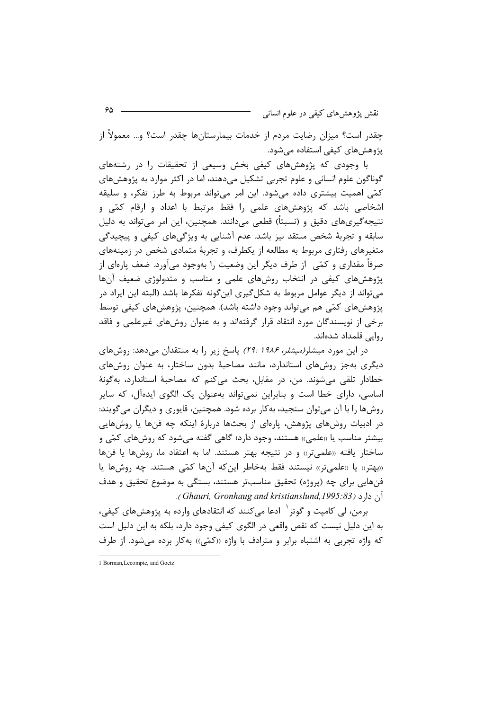نقش پژوهش،ای کیفی در علوم انسانی

چقدر است؟ میزان رضایت مردم از خدمات بیمارستانها چقدر است؟ و… معمولاً از یژوهشهای کیفی استفاده می شود.

با وجودی که پژوهشهای کیفی بخش وسیعی از تحقیقات را در رشتههای گوناگون علوم انسانی و علوم تجربی تشکیل میدهند، اما در اکثر موارد به پژوهشهای کمّی اهمیت بیشتری داده میشود. این امر میتواند مربوط به طرز تفکر، و سلیقه اشخاصی باشد که پژوهشهای علمی را فقط مرتبط با اعداد و ارقام کمّی و نتیجه گیریهای دقیق و (نسبتاً) قطعی میدانند. همچنین، این امر میتواند به دلیل سابقه و تجربهٔ شخص منتقد نیز باشد. عدم آشنایی به ویژگیهای کیفی و پیچیدگی متغیرهای رفتاری مربوط به مطالعه از یکطرف، و تجربهٔ متمادی شخص در زمینههای صرفاً مقداری و کمّی از طرف دیگر این وضعیت را بهوجود میآورد. ضعف پارهای از پژوهشهای کیفی در انتخاب روشهای علمی و مناسب و متدولوژی ضعیف آنها می تواند از دیگر عوامل مربوط به شکل گیری این گونه تفکرها باشد (البته این ایراد در پژوهشهای کمّی هم میتواند وجود داشته باشد). همچنین، پژوهشهای کیفی توسط برخی از نویسندگان مورد انتقاد قرار گرفتهاند و به عنوان روشهای غیرعلمی و فاقد روایے قلمداد شدہاند.

در این مورد میشلر*(میشلر، ۱۹۸۶ :۲۹)* پاسخ زیر را به منتقدان میدهد: روشهای دیگری بهجز روشهای استاندارد، مانند مصاحبهٔ بدون ساختار، به عنوان روشهای خطادار تلقى مى شوند. من، در مقابل، بحث مى كنم كه مصاحبة استاندارد، به گونهٔ اساسی، دارای خطا است و بنابراین نمی تواند بهعنوان یک الگوی ایدهآل، که سایر روشها را با آن می توان سنجید، به کار برده شود. همچنین، قاپوری و دیگران می گویند: در ادبیات روشهای پژوهش، پارهای از بحثها دربارهٔ اینکه چه فنها یا روشهایی بیشتر مناسب یا «علمی» هستند، وجود دارد؛ گاهی گفته می شود که روشهای کمّی و ساختار یافته «علمیتر» و در نتیجه بهتر هستند. اما به اعتقاد ما، روشها یا فنها «بهتر» یا «علمیتر» نیستند فقط بهخاطر این که آنها کمّی هستند. چه روشها یا فنهایی برای چه (پروژه) تحقیق مناسبتر هستند، بستگی به موضوع تحقیق و هدف آن دارد (Ghauri, Gronhaug and kristianslund, 1995: 83).

برمن، لي كاميت و گوتز ٰ ادعا مي كنند كه انتقادهاي وارده به پژوهشهاي كيفي، به این دلیل نیست که نقص واقعی در الگوی کیفی وجود دارد، بلکه به این دلیل است که واژه تجربي به اشتباه برابر و مترادف با واژه ((کمّي)) بهکار برده مي شود. از طرف

<sup>1</sup> Borman, Lecompte, and Goetz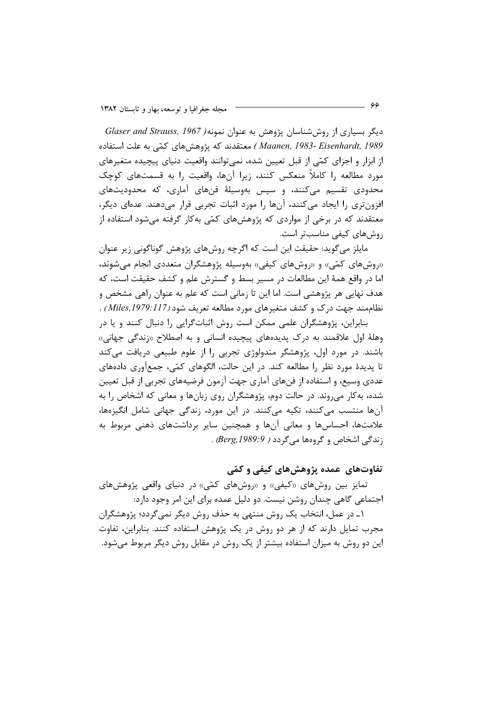دیگر بسیاری از روششناسان پژوهش به عنوان نمونه( Glaser and Strauss, 1967 Maanen, 1983- Eisenhardt, 1989) معتقدند که پژوهش های کمّی به علت استفاده از ابزار و اجزای کمّی از قبل تعیین شده، نمیٍتوانند واقعیت دنیای پیچیده متغیرهای مورد مطالعه را کاملاً منعکس کنند، زیرا آنها، واقعیت را به قسمتهای کوچک محدودی تقسیم میکنند، و سیس بهوسیلهٔ فنهای آماری، که محدودیتهای افزون تری را ایجاد می کنند، آنها را مورد اثبات تجربی قرار میدهند. عدهای دیگر، معتقدند که در برخی از مواردی که پژوهشهای کمّی بهکار گرفته میشود استفاده از روش های کیفی مناسب تر است.

مایلز می گوید: حقیقت این است که اگرچه روشهای پژوهش گوناگونی زیر عنوان «روشهای کمّی» و «روشهای کیفی» بهوسیله پژوهشگران متعددی انجام میشوند، اما در واقع همهٔ این مطالعات در مسیر بسط و گسترش علم و کشف حقیقت است، که هدف نهایی هر پژوهشی است. اما این تا زمانی است که علم به عنوان راهی مشخص و نظاممند جهت درک و کشف متغیرهای مورد مطالعه تعریف شود (Miles, 1979: 117 ) . بنابراین، پژوهشگران علمی ممکن است روش اثباتگرایی را دنبال کنند و یا در

وهلهٔ اول علاقمند به درک پدیدههای پیچیده انسانی و به اصطلاح «زندگی جهانی» باشند. در مورد اول، پژوهشگر متدولوژی تجربی را از علوم طبیعی دریافت میکند تا پدیدهٔ مورد نظر را مطالعه کند. در این حالت، الگوهای کمّی، جمعآوری دادههای عددی وسیع، و استفاده از فنهای آماری جهت آزمون فرضیههای تجربی از قبل تعیین شده، به کار می روند. در حالت دوم، پژوهشگران روی زبانها و معانی که اشخاص را به آنها منتسب می کنند، تکیه می کنند. در این مورد، زندگی جهانی شامل انگیزهها، علامتها، احساسها و معانی آنها و همچنین سایر برداشتهای ذهنی مربوط به زندگی اشخاص و گروهها می گردد ( Berg, 1989:9. .

# تفاوتهای عمده پژوهشهای کیفی و کمّی

تمایز بین روشهای «کیفی» و «روشهای کمّی» در دنیای واقعی پژوهشهای اجتماعی گاهی چندان روشن نیست. دو دلیل عمده برای این امر وجود دارد:

۱ـ در عمل، انتخاب یک روش منتهی به حذف روش دیگر نمی گردد؛ پژوهشگران مجرب تمایل دارند که از هر دو روش در یک پژوهش استفاده کنند. بنابراین، تفاوت این دو روش به میزان استفاده بیشتر از یک روش در مقابل روش دیگر مربوط میشود.

- 66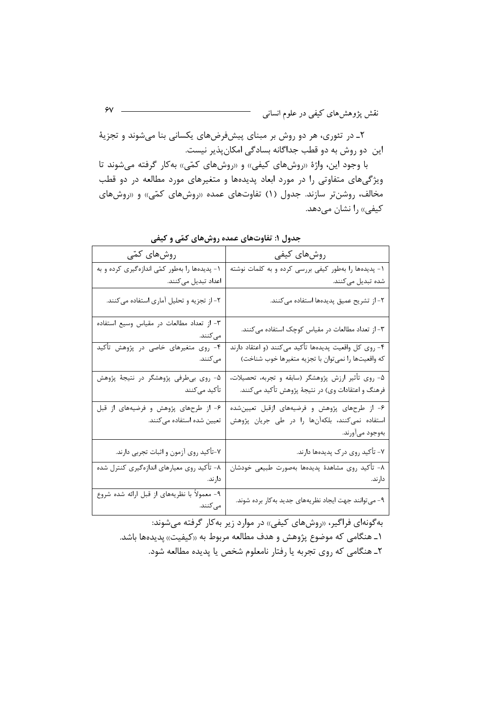۲ـ در تئوري، هر دو روش بر مبناي پيشفرضهاي يكساني بنا مي شوند و تجزيهٔ این دو روش به دو قطب جداگانه بسادگی امکانپذیر نیست.

با وجود این، واژهٔ «روشهای کیفی» و «روشهای کمّی» بهکار گرفته میشوند تا ویژگیهای متفاوتی را در مورد ابعاد پدیدهها و متغیرهای مورد مطالعه در دو قطب مخالف، روشنتر سازند. جدول (۱) تفاوتهای عمده «روشهای کمّی» و «روشهای کیفی» را نشان میدهد.

| روشهای کیفی                                                                                                 | روشهای کمّی                                              |
|-------------------------------------------------------------------------------------------------------------|----------------------------------------------------------|
| ۱- پدیدهها را بهطور کیفی بررسی کرده و به کلمات نوشته                                                        | ۱- پدیدهها را بهطور کمّی اندازهگیری کرده و به            |
| شده تبدیل میکنند.                                                                                           | اعداد تبدیل میکنند.                                      |
| ٢- از تشريح عميق پديدهها استفاده مي كنند.                                                                   | ۲- از تجزیه و تحلیل آماری استفاده میکنند.                |
| ۳- از تعداد مطالعات در مقیاس کوچک استفاده میکنند.                                                           | ٣- از تعداد مطالعات در مقياس وسيع استفاده<br>مى كنند.    |
| ۴- روی کل واقعیت پدیدهها تأکید میکنند (و اعتقاد دارند<br>که واقعیتها را نمی¤وان با تجزیه متغیرها خوب شناخت) | ۴- روی متغیرهای خاصی در پژوهش تأکید                      |
|                                                                                                             | مىكنند.                                                  |
| ۵- روی تأثیر ارزش پژوهشگر (سابقه و تجربه، تحصیلات،                                                          | ۵- روی بیطرفی پژوهشگر در نتیجهٔ پژوهش                    |
| فرهنگ و اعتقادات وي) در نتيجهٔ پژوهش تأكيد ميكنند.                                                          | تأكيد مىكنند                                             |
| ۶- از طرحهای پژوهش و فرضیههای ازقبل تعیینشده                                                                | ۶- از طرحهای پژوهش و فرضیههای از قبل                     |
| استفاده نمیکنند، بلکهآنها را در طی جریان پژوهش                                                              | تعیین شده استفاده میکنند.                                |
| بەوجود مىآورند.                                                                                             |                                                          |
| ۷- تأکید روی درک پدیدهها دارند.                                                                             | ٧-تأكيد روى آزمون و اثبات تجربي دارند.                   |
| ٨- تأكيد روى مشاهدة پديدهها بهصورت طبيعي خودشان                                                             | ۸- تأکید روی معیارهای اندازهگیری کنترل شده               |
| دارند.                                                                                                      | دارند.                                                   |
| ۹- میتوانند جهت ایجاد نظریههای جدید بهکار برده شوند.                                                        | ۹- معمولاً با نظریههای از قبل ارائه شده شروع<br>مى كنند. |

جدول ۱: تفاوتهای عمده روشهای کمّی و کیفی

به گونهای فراگیر، «روشهای کیفی» در موارد زیر به کار گرفته می شوند: ۱\_ هنگامي كه موضوع پژوهش و هدف مطالعه مربوط به «كيفيت» پديدهها باشد. ٢ـ هنگامي كه روى تجربه يا رفتار نامعلوم شخص يا پديده مطالعه شود.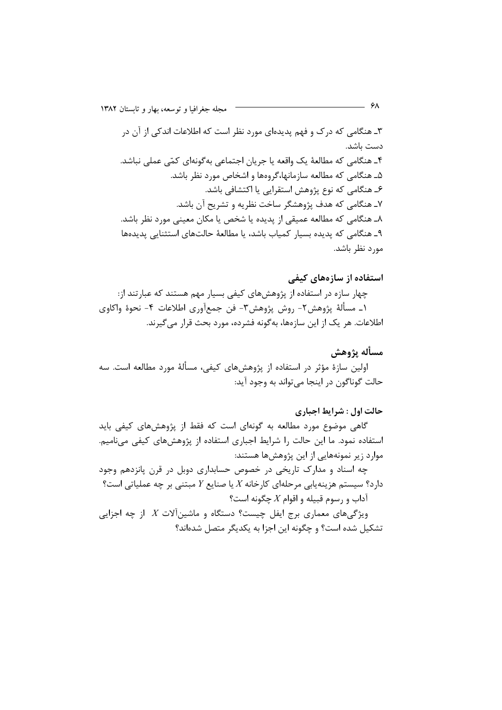۳ـ هنگامی که درک و فهم پدیدهای مورد نظر است که اطلاعات اندکی از آن در دست باشد. ۴ـ هنگامی که مطالعهٔ یک واقعه یا جریان اجتماعی بهگونهای کمّی عملی نباشد. ۵ـ هنگامی که مطالعه سازمانها،گروهها و اشخاص مورد نظر باشد. ۶ـ هنگامی که نوع پژوهش استقرایی یا اکتشافی باشد. ۷ـ هنگامی که هدف پژوهشگر ساخت نظریه و تشریح آن باشد. ٨ـ هنگامي كه مطالعه عميقي از يديده يا شخص يا مكان معيني مورد نظر باشد. ۹ـ هنگامی که پدیده بسیار کمیاب باشد، یا مطالعهٔ حالتهای استثنایی پدیدهها مورد نظر باشد.

 $-$  ۶۸

استفاده از سازههای کیفی چهار سازه در استفاده از پژوهشهای کیفی بسیار مهم هستند که عبارتند از: ١\_ مسألة پژوهش٢- روش پژوهش٣- فن جمعآوري اطلاعات ۴- نحوة واكاوي اطلاعات. هر یک از این سازهها، بهگونه فشرده، مورد بحث قرار می گیرند.

مسأله يژوهش اولین سازهٔ مؤثر در استفاده از پژوهشهای کیفی، مسألهٔ مورد مطالعه است. سه حالت گوناگون در اينجا مي تواند به وجود آيد:

حالت اول : شرايط اجباري گاهی موضوع مورد مطالعه به گونهای است که فقط از پژوهشهای کیفی باید استفاده نمود. ما این حالت را شرایط اجباری استفاده از پژوهشهای کیفی مینامیم. موارد زیر نمونههایی از این پژوهشها هستند:

چه اسناد و مدارک تاریخی در خصوص حسابداری دوبل در قرن پانزدهم وجود دارد؟ سیستم هزینهپایی مرحلهای کارخانه  $X$  یا صنایع  $Y$  مبتنی بر چه عملیاتی است؟ آداب و رسوم قبیله و اقوام  $X$  چگونه است؟ ویژگیهای معماری برج ایفل چیست؟ دستگاه و ماشین آلات  $X$  از چه اجزایی تشکیل شده است؟ و چگونه این اجزا به یکدیگر متصل شدهاند؟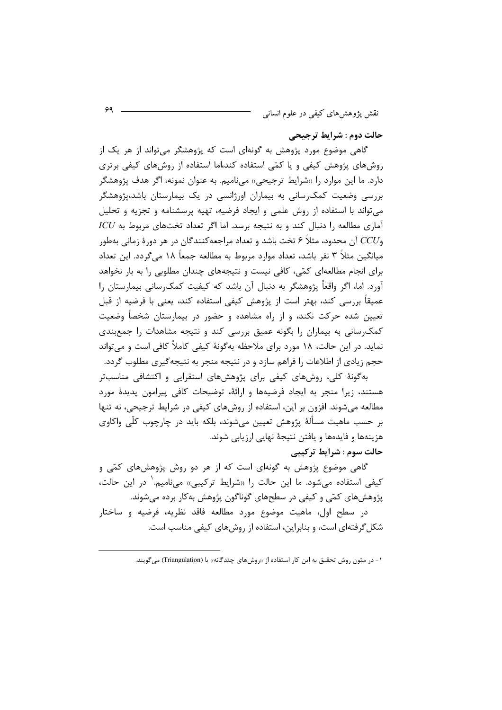حالت دوم : شرايط ترجيحي

گاهی موضوع مورد پژوهش به گونهای است که پژوهشگر میتواند از هر یک از روشهای پژوهش کیفی و یا کمّی استفاده کند،اما استفاده از روشهای کیفی برتری دارد. ما این موارد را «شرایط ترجیحی» میiامیم. به عنوان نمونه، اگر هدف پژوهشگر بررسی وضعیت کمک رسانی به بیماران اورژانسی در یک بیمارستان باشد،پژوهشگر می تواند با استفاده از روش علمی و ایجاد فرضیه، تهیه پرسشنامه و تجزیه و تحلیل  $ICU$  آماری مطالعه را دنبال کند و به نتیجه برسد. اما اگر تعداد تختهای مربوط به وCCU آن محدود، مثلاً ۶ تخت باشد و تعداد مراجعهکنندگان در هر دورهٔ زمانی بهطور میانگین مثلاً ۳ نفر باشد، تعداد موارد مربوط به مطالعه جمعاً ۱۸ می گردد. این تعداد برای انجام مطالعهای کمّی، کافی نیست و نتیجههای چندان مطلوبی را به بار نخواهد آورد. اما، اگر واقعاً پژوهشگر به دنبال آن باشد که کیفیت کمکرسانی بیمارستان را عمیقاً بررسی کند، بهتر است از پژوهش کیفی استفاده کند، یعنی با فرضیه از قبل تعیین شده حرکت نکند، و از راه مشاهده و حضور در بیمارستان شخصاً وضعیت کمک رسانی به بیماران را بگونه عمیق بررسی کند و نتیجه مشاهدات را جمعبندی نماید. در این حالت، ۱۸ مورد برای ملاحظه بهگونهٔ کیفی کاملاً کافی است و می تواند حجم زیادی از اطلاعات را فراهم سازد و در نتیجه منجر به نتیجه گیری مطلوب گردد.

بهگونهٔ کلی، روشهای کیفی برای پژوهشهای استقرایی و اکتشافی مناسبتر هستند، زیرا منجر به ایجاد فرضیهها و ارائهٔ، توضیحات کافی پیرامون پدیدهٔ مورد مطالعه میشوند. افزون بر این، استفاده از روشهای کیفی در شرایط ترجیحی، نه تنها بر حسب ماهيت مسألهٔ پژوهش تعيين مي شوند، بلكه بايد در چارچوب كلّى واكاوى هزينهها و فايدهها و يافتن نتيجهٔ نهايي ارزيابي شوند. حالت سوم : شرايط تركيبي

گاهی موضوع پژوهش به گونهای است که از هر دو روش پژوهشهای کمّی و کیفی استفاده میشود. ما این حالت را «شرایط ترکیبی» مینامیم.<sup>۱</sup> در این حالت، پژوهشهای کمّی و کیفی در سطحهای گوناگون پژوهش بهکار برده میشوند.

در سطح اول، ماهيت موضوع مورد مطالعه فاقد نظريه، فرضيه و ساختار شکل گرفتهای است، و بنابراین، استفاده از روش های کیفی مناسب است.

۱- در متون روش تحقیق به این کار استفاده از «روشهای چندگانه» یا (Triangulation) می گویند.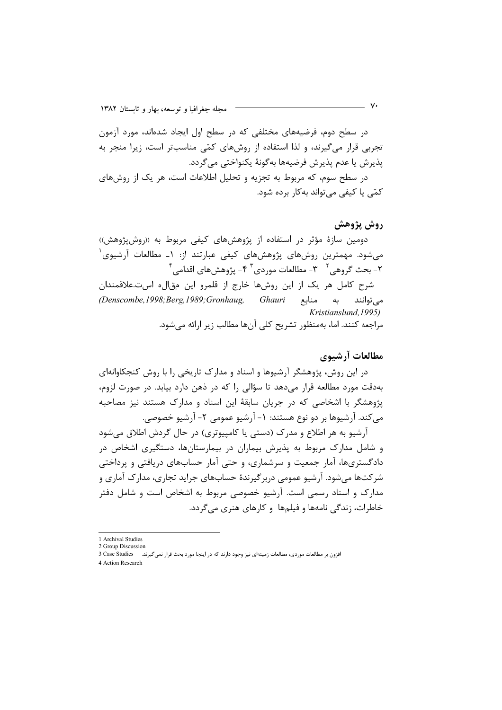در سطح دوم، فرضیههای مختلفی که در سطح اول ایجاد شدهاند، مورد آزمون تجربی قرار میگیرند، و لذا استفاده از روشهای کمّی مناسبتر است، زیرا منجر به يذيرش يا عدم يذيرش فرضيهها به گونهٔ يكنواختي مي گردد. در سطح سوم، که مربوط به تجزیه و تحلیل اطلاعات است، هر یک از روشهای کمّے یا کیفے مے تواند به کار بردہ شود.

### روش پژوهش

دومین سازهٔ مؤثر در استفاده از پژوهشهای کیفی مربوط به «روش،ژوهش)) میشود. مهمترین روشهای پژوهشهای کیفی عبارتند از: ۱ـ مطالعات آرشیوی $\big\{$ ۲- بحث گروهي<sup>۲ -</sup> ۳- مطالعات موردي<sup>۳ ـ ۴</sup>- پژوهشهای اقدامي<sup>۴</sup>

شرح کامل هر یک از این روشها خارج از قلمرو این مقاله است.علاقمندان (Denscombe, 1998; Berg, 1989; Gronhaug, Ghauri مے توانند به منابع Kristianslund, 1995) مراجعه كنند. اما، بهمنظور تشريح كلي أنها مطالب زير ارائه ميشود.

# مطالعات آرشىوى

در این روش، پژوهشگر آرشیوها و اسناد و مدارک تاریخی را با روش کنجکاوانهای بهدقت مورد مطالعه قرار می دهد تا سؤالی را که در ذهن دارد بیابد. در صورت لزوم، پژوهشگر با اشخاصی که در جریان سابقهٔ این اسناد و مدارک هستند نیز مصاحبه می کند. آرشیوها بر دو نوع هستند: ۱- آرشیو عمومی ۲- آرشیو خصوصی.

آرشیو به هر اطلاع و مدرک (دستی یا کامپیوتری) در حال گردش اطلاق می شود و شامل مدارک مربوط به پذیرش بیماران در بیمارستانها، دستگیری اشخاص در دادگستریها، آمار جمعیت و سرشماری، و حتی آمار حسابهای دریافتی و پرداختی شرکتها میشود. آرشیو عمومی دربرگیرندهٔ حسابهای جراید تجاری، مدارک آماری و مدارک و اسناد رسمی است. آرشیو خصوصی مربوط به اشخاص است و شامل دفتر خاطرات، زندگی نامهها و فیلمها و کارهای هنری می گردد.

- v•

<sup>1</sup> Archival Studies

<sup>2</sup> Group Discussion

<sup>3</sup> Case Studies افزون بر مطالعات موردي، مطالعات زمينهاي نيز وجود دارند كه در اينجا مورد بحث قرار نمي گيرند.

<sup>4</sup> Action Research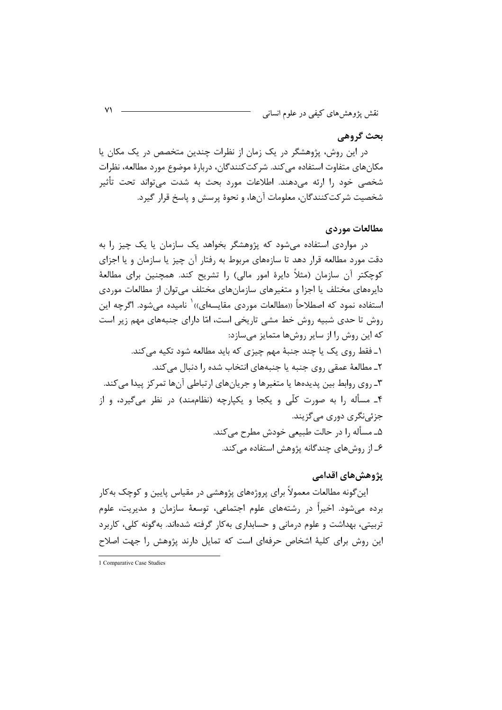# بحث گروهي

در این روش، پژوهشگر در یک زمان از نظرات چندین متخصص در یک مکان یا مکانهای متفاوت استفاده می کند. شرکت کنندگان، دربارهٔ موضوع مورد مطالعه، نظرات شخصی خود را ارئه می۵هند. اطلاعات مورد بحث به شدت می تواند تحت تأثیر شخصیت شرکتکنندگان، معلومات آنها، و نحوهٔ پرسش و پاسخ قرار گیرد.

### مطالعات موردي

در مواردی استفاده می شود که پژوهشگر بخواهد یک سازمان یا یک چیز را به دقت مورد مطالعه قرار دهد تا سازههای مربوط به رفتار آن چیز یا سازمان و یا اجزای کوچکتر آن سازمان (مثلاً دایرهٔ امور مالی) را تشریح کند. همچنین برای مطالعهٔ دایرەهای مختلف یا اجزا و متغیرهای سازمانهای مختلف می توان از مطالعات موردی استفاده نمود که اصطلاحاً «مطالعات موردی مقایسهای»  $'$  نامیده میشود. اگرچه این روش تا حدی شبیه روش خط مشی تاریخی است، امّا دارای جنبههای مهم زیر است که این روش را از سایر روشها متمایز می سازد: ۱ـ فقط ٫وی یک یا چند جنبهٔ مهم چیزی که باید مطالعه شود تکیه میکند. ٢ـ مطالعهٔ عمقی روی جنبه یا جنبههای انتخاب شده را دنبال می کند. ۳ـ روی روابط بین پدیدهها یا متغیرها و جرپانهای ارتباطی آنها تمرکز پیدا می کند. ۴\_ مسأله را به صورت كلّى و يكجا و يكيارچه (نظاممند) در نظر مى گيرد، و از جزئي نگري دوري مي گزيند. ۵ـ مسأله ۱٫ در حالت طبیعی خودش مطرح می کند. ۶\_ از روش های چندگانه پژوهش استفاده می کند.

## پژوهش های اقدامی

این گونه مطالعات معمولاً برای پروژههای پژوهشی در مقیاس پایین و کوچک بهکار برده می شود. اخیراً در رشتههای علوم اجتماعی، توسعهٔ سازمان و مدیریت، علوم تربیتی، بهداشت و علوم درمانی و حسابداری به کار گرفته شدهاند. بهگونه کلی، کاربرد این روش برای کلیهٔ اشخاص حرفهای است که تمایل دارند پژوهش را جهت اصلاح

1 Comparative Case Studies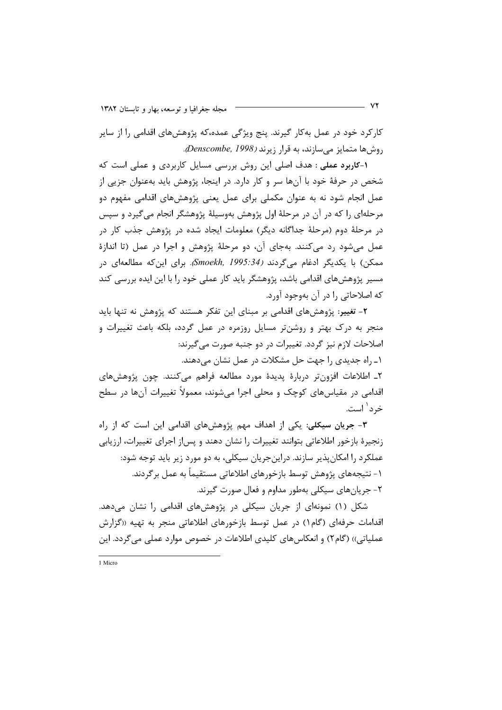کارکرد خود در عمل بهکار گیرند. پنج ویژگی عمده،که پژوهشهای اقدامی را از سایر روشها متمایز میسازند، به قرار زیرند (Denscombe, 1998).

1-کاربرد عملی : هدف اصلی این روش بررسی مسایل کاربردی و عملی است که شخص در حرفهٔ خود با آنها سر و کار دارد. در اینجا، پژوهش باید بهعنوان جزیی از عمل انجام شود نه به عنوان مکملی برای عمل یعنی پژوهشهای اقدامی مفهوم دو مرحلهای را که در آن در مرحلهٔ اول پژوهش بهوسیلهٔ پژوهشگر انجام میگیرد و سپس در مرحلهٔ دوم (مرحلهٔ جداگانه دیگر) معلومات ایجاد شده در پژوهش جذب کار در عمل میشود رد میکنند. بهجای آن، دو مرحلهٔ پژوهش و اجرا در عمل (تا اندازهٔ ممكن) با يكديگر ادغام مي گردند (Smoekh, 1995:34، براي اين كه مطالعهاي در مسیر پژوهشهای اقدامی باشد، پژوهشگر باید کار عملی خود را با این ایده بررسی کند که اصلاحاتی را در آن بهوجود آورد.

۲- تغییر: پژوهشهای اقدامی بر مبنای این تفکر هستند که پژوهش نه تنها باید منجر به درک بهتر و روشنتر مسایل روزمره در عمل گردد، بلکه باعث تغییرات و اصلاحات لازم نیز گردد. تغییرات در دو جنبه صورت می گیرند: ۱ـ راه جدیدی را جهت حل مشکلات در عمل نشان می دهند. ٢\_ اطلاعات افزونتر دربارة پديدة مورد مطالعه فراهم مي كنند. چون پژوهشهاي اقدامی در مقیاسهای کوچک و محلی اجرا می شوند، معمولاً تغییرات آنها در سطح خرد' است.

۳- جریان سیکلی: یکی از اهداف مهم پژوهشهای اقدامی این است که از راه زنجیرهٔ بازخور اطلاعاتی بتوانند تغییرات را نشان دهند و پس|ز اجرای تغییرات، ارزیابی عملکرد را امکان پذیر سازند. دراین جریان سیکلی، به دو مورد زیر باید توجه شود: ١- نتيجههاي پژوهش توسط بازخورهاي اطلاعاتي مستقيماً به عمل برگردند. ٢- جريان هاي سيكلي بهطور مداوم و فعال صورت گيرند.

شکل (۱) نمونهای از جریان سیکلی در پژوهشهای اقدامی را نشان میدهد. اقدامات حرفهای (گام۱) در عمل توسط بازخورهای اطلاعاتی منجر به تهیه «گزارش عملیاتی)) (گام۲) و انعکاسهای کلیدی اطلاعات در خصوص موارد عملی می گردد. این

1 Micro

- **VY**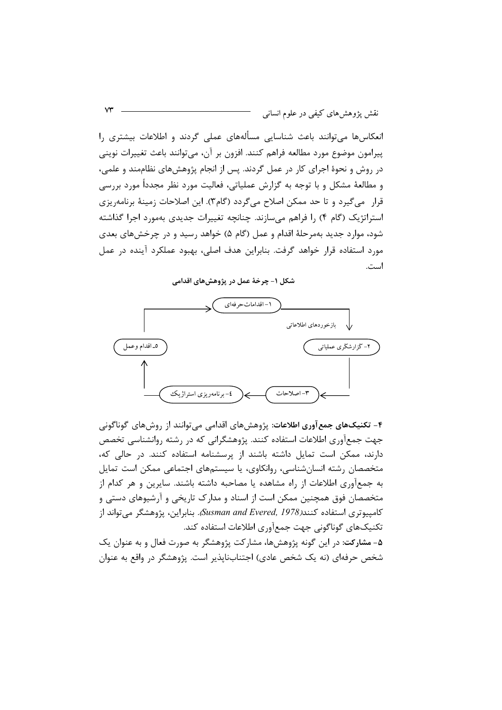نقش پژوهشهای کیفی در علوم انسانی

انعکاسها میتوانند باعث شناسایی مسألههای عملی گردند و اطلاعات بیشتری را پیرامون موضوع مورد مطالعه فراهم کنند. افزون بر آن، میتوانند باعث تغییرات نوینی در روش و نحوهٔ اجرای کار در عمل گردند. پس از انجام پژوهشهای نظاممند و علمی، و مطالعهٔ مشکل و با توجه به گزارش عملیاتی، فعالیت مورد نظر مجدداً مورد بررسی قرار میگیرد و تا حد ممکن اصلاح میگردد (گام۳). این اصلاحات زمینهٔ برنامهریزی استراتژیک (گام ۴) را فراهم میسازند. چنانچه تغییرات جدیدی بهمورد اجرا گذاشته شود، موارد جدید بهمرحلهٔ اقدام و عمل (گام ۵) خواهد رسید و در چرخشهای بعدی مورد استفاده قرار خواهد گرفت. بنابراین هدف اصلی، بهبود عملکرد آینده در عمل است.

شکل ۱– چرخهٔ عمل در پژوهشهای اقدامی



۴- تکنیکهای جمع آوری اطلاعات: پژوهشهای اقدامی می توانند از روشهای گوناگونی جهت جمعآوری اطلاعات استفاده کنند. پژوهشگرانی که در رشته روانشناسی تخصص دارند، ممکن است تمایل داشته باشند از پرسشنامه استفاده کنند. در حالی که، متخصصان رشته انسانشناسی، روانکاوی، یا سیستمهای اجتماعی ممکن است تمایل به جمعآوری اطلاعات از راه مشاهده یا مصاحبه داشته باشند. سایرین و هر کدام از متخصصان فوق همچنین ممکن است از اسناد و مدارک تاریخی و آرشیوهای دستی و كامپيوتري استفاده كنند(Susman and Evered, 1978). بنابراين، پژوهشگر مي تواند از تکنیکهای گوناگونی جهت جمعآوری اطلاعات استفاده کند. ۵- مشارکت: در این گونه پژوهشها، مشارکت پژوهشگر به صورت فعال و به عنوان یک شخص حرفهای (نه یک شخص عادی) اجتنابنایذیر است. پژوهشگر در واقع به عنوان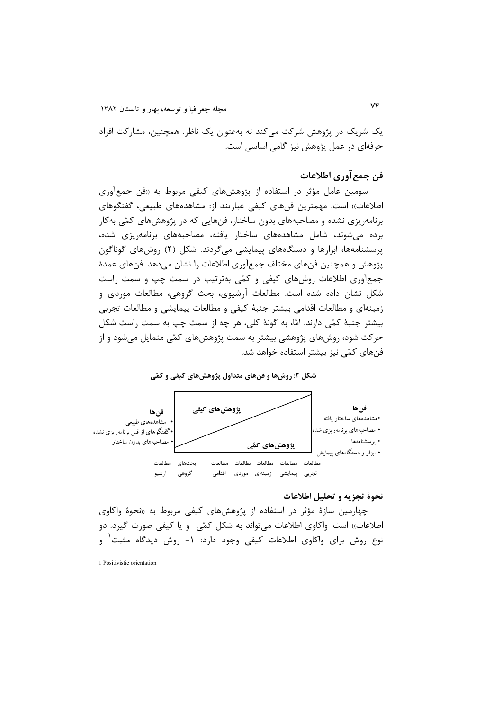یک شریک در پژوهش شرکت می کند نه بهعنوان یک ناظر. همچنین، مشارکت افراد حرفهای در عمل پژوهش نیز گامی اساسی است.

## فن جمع آوري اطلاعات

سومین عامل مؤثر در استفاده از پژوهشهای کیفی مربوط به «فن جمعآوری اطلاعات)) است. مهمترین فنهای کیفی عبارتند از: مشاهدههای طبیعی، گفتگوهای برنامهریزی نشده و مصاحبههای بدون ساختار، فنهایی که در پژوهشهای کمّی بهکار برده می شوند، شامل مشاهدههای ساختار یافته، مصاحبههای برنامهریزی شده، پرسشنامهها، ابزارها و دستگاههای پیمایشی میگردند. شکل (۲) روشهای گوناگون پژوهش و همچنین فنهای مختلف جمعآوری اطلاعات را نشان می،دهد. فنهای عمدهٔ جمعآوری اطلاعات روشهای کیفی و کمّی بهترتیب در سمت چپ و سمت راست شکل نشان داده شده است. مطالعات آرشیوی، بحث گروهی، مطالعات موردی و زمینهای و مطالعات اقدامی بیشتر جنبهٔ کیفی و مطالعات پیمایشی و مطالعات تجربی بیشتر جنبهٔ کمّی دارند. امّا، به گونهٔ کلی، هر چه از سمت چپ به سمت راست شکل حر کت شود، روشهای پژوهشی بیشتر به سمت پژوهشهای کمّی متمایل می،شود و از فنهای کمّی نیز بیشتر استفاده خواهد شد.

شکل ۲: روشها و فنهای متداول پژوهشهای کیفی و کمّی



### نحوهٔ تجزیه و تحلیل اطلاعات

چهارمین سازهٔ مؤثر در استفاده از پژوهشهای کیفی مربوط به «نحوهٔ واکاوی اطلاعات)) است. واكاوى اطلاعات مى تواند به شكل كمّى ويا كيفى صورت گيرد. دو نوع روش برای واکاوی اطلاعات کیفی وجود دارد: ۱- روش دیدگاه مثبت و

1 Positivistic orientation

- VF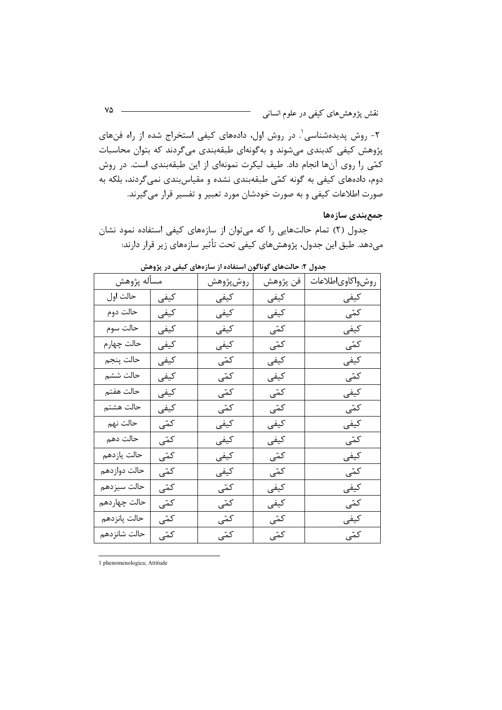۲- روش پدیدهشناسی'. در روش اول، دادههای کیفی استخراج شده از راه فنهای پژوهش کیفی کدبندی میشوند و بهگونهای طبقهبندی میگردند که بتوان محاسبات کمّی را روی آنها انجام داد. طیف لیکرت نمونهای از این طبقهبندی است. در روش دوم، دادههای کیفی به گونه کمّی طبقهبندی نشده و مقیاسبندی نمیگردند، بلکه به صورت اطلاعات کیفی و به صورت خودشان مورد تعبیر و تفسیر قرار میگیرند.

#### جمعبندي سازهها

جدول (٢) تمام حالتهایی را که میتوان از سازههای کیفی استفاده نمود نشان می،دهد. طبق این جدول، پژوهشهای کیفی تحت تأثیر سازمهای زیر قرار دارند:

| مسأله پژوهش  |      | روش پژوهش | فن پژوهش | روشواكاوىاطلاعات |
|--------------|------|-----------|----------|------------------|
| حالت اول     | كيفي | كيفي      | كيفي     | كيفي             |
| حالت دوم     | كيفي | كيفى      | كيفي     | کمّی             |
| حالت سوم     | كيفي | كيفي      | کمّی     | كيفي             |
| حالت چهارم   | كيفي | كيفي      | کمّی     | کمّی             |
| حالت پنجم    | كيفي | کمّی      | كيفي     | كيفي             |
| حالت ششم     | كيفي | کمّی      | كيفي     | کمّی             |
| حالت هفتم    | كيفي | کمّی      | کمّی     | كيفي             |
| حالت هشتم    | كيفي | کمّی      | کمّی     | کمّی             |
| حالت نهم     | کمّی | کیفی      | كيفي     | کیفی             |
| حالت دهم     | کمّی | كيفي      | کیفی     | کمّی             |
| حالت يازدهم  | کمّی | كيفي      | کمّی     | كيفي             |
| حالت دوازدهم | کمّی | كيفي      | کمّی     | کمّی             |
| حالت سيزدهم  | کمّی | کمّی      | كيفي     | كيفي             |
| حالت چهاردهم | کمّی | کمّی      | کیفی     | کمّی             |
| حالت پانزدهم | کمّی | کمّی      | کمّی     | كيفي             |
| حالت شانزدهم | کمّی | کمّی      | کمّی     | کمّی             |

جدول ۲: حالتهای گوناگون استفاده از سازههای کیفی در پژوهش

1 phenomenologica; Attitude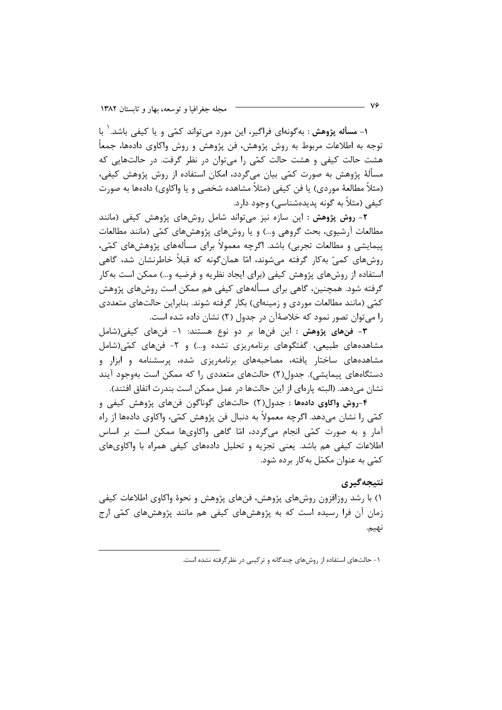۱– مسأله پژوهش : به گونهای فراگیر، این مورد می تواند کمّی و یا کیفی باشد. ٰ با توجه به اطلاعات مربوط به روش پژوهش، فن پژوهش و روش واکاوی دادهها، جمعاً هشت حالت کیفی و هشت حالت کمّی را می توان در نظر گرفت. در حالتهایی که مسألهٔ پژوهش به صورت کمّی بیان میگردد، امکان استفاده از روش پژوهش کیفی، (مثلاً مطالعهٔ موردی) یا فن کیفی (مثلاً مشاهده شخصی و یا واکاوی) دادهها به صورت کیفی (مثلاً به گونه پدیدهشناسی) وجود دارد.

۲- روش پژوهش : این سازه نیز میتواند شامل روشهای پژوهش کیفی (مانند مطالعات آرشیوی، بحث گروهی و…) و یا روشهای پژوهشهای کمّی (مانند مطالعات پیمایشی و مطالعات تجربی) باشد. اگرچه معمولاً برای مسألههای پژوهشهای کمّی، روشهای کمیّ بهکار گرفته میشوند، امّا همانِ گونه که قبلاً خاطرنشان شد، گاهی استفاده از روشهای پژوهش کیفی (برای ایجاد نظریه و فرضیه و…) ممکن است بهکار گرفته شود. همچنین، گاهی برای مسألههای کیفی هم ممکن است روشهای پژوهش کمّی (مانند مطالعات موردی و زمینهای) بکار گرفته شوند. بنابراین حالتهای متعددی را میتوان تصور نمود که خلاصهٔآن در جدول (۲) نشان داده شده است.

٣- فنهای پژوهش : این فنها بر دو نوع هستند: ١- فنهای کیفی(شامل مشاهدههای طبیعی، گفتگوهای برنامهریزی نشده و…) و ۲- فنهای کمّی(شامل مشاهدههای ساختار یافته، مصاحبههای برنامهریزی شده، پرسشنامه و ابزار و دستگاههای پیمایشی). جدول(۲) حالتهای متعددی را که ممکن است بهوجود آیند نشان میدهد. (البته پارهای از این حالتها در عمل ممکن است بندرت اتفاق افتند).

۴-روش واکاوی دادهها : جدول(۲) حالتهای گوناگون فنهای پژوهش کیفی و كمّي را نشان مىدهد. اگرچه معمولاً به دنبال فن پژوهش كمّي، واكاوى دادهها از راه آمار و به صورت کمّی انجام می۶ردد، امّا گاهی واکاویها ممکن است بر اساس اطلاعات کیفی هم باشد. یعنی تجزیه و تحلیل دادههای کیفی همراه با واکاویهای کمّی به عنوان مکمّل به کار برده شود.

## نتىجەگىرى

۱) با رشد روزافزون روشهای پژوهش، فنهای پژوهش و نحوهٔ واکاوی اطلاعات کیفی زمان آن فرا رسیده است که به پژوهشهای کیفی هم مانند پژوهشهای کمّی ارج نهيم.

۱- حالتهای استفاده از روشهای چندگانه و ترکیبی در نظر گرفته نشده است.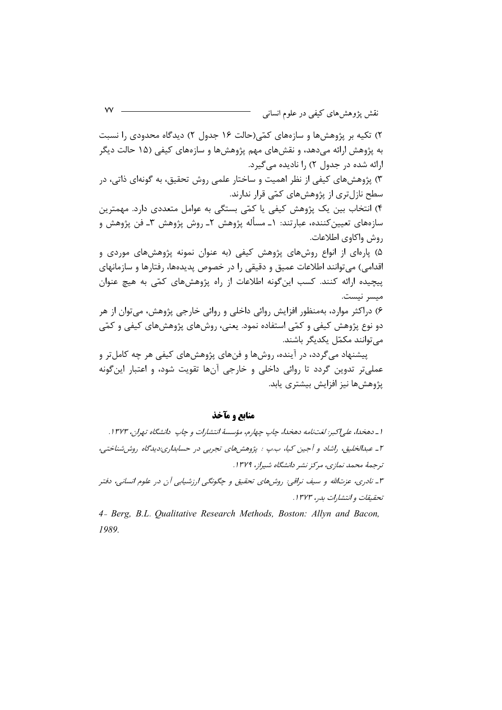۲) تکیه بر پژوهشها و سازههای کمّی(حالت ۱۶ جدول ۲) دیدگاه محدودی را نسبت به پژوهش ارائه می،دهد، و نقشهای مهم پژوهشها و سازههای کیفی (۱۵ حالت دیگر ارائه شده در جدول ۲) را نادیده می گیرد. ۳) پژوهشهای کیفی از نظر اهمیت و ساختار علمی روش تحقیق، به گونهای ذاتی، در سطح نازلتری از پژوهشهای کمّی قرار ندارند. ۴) انتخاب بین یک پژوهش کیفی یا کمّی بستگی به عوامل متعددی دارد. مهمترین سازەهای تعیینکننده، عبارتند: ۱ــ مسأله پژوهش ۲ــ روش پژوهش ۳ــ فن پژوهش و روش واكاوى اطلاعات. ۵) یارهای از انواع روشهای پژوهش کیفی (به عنوان نمونه پژوهشهای موردی و اقدامي) مي توانند اطلاعات عميق و دقيقي را در خصوص پديدهها، رفتارها و سازمانهاي ییچیده ارائه کنند. کسب این گونه اطلاعات از راه پژوهشهای کمّی به هیچ عنوان ميسر نيست.

۶) دراکثر موارد، بهمنظور افزایش روائی داخلی و روائی خارجی پژوهش، می توان از هر دو نوع پژوهش کیفی و کمّی استفاده نمود. یعنی، روشهای پژوهشهای کیفی و کمّی می توانند مکمّل یکدیگر باشند.

پیشنهاد می گردد، در آینده، روشها و فنهای پژوهشهای کیفی هر چه کامل تر و عملي تر تدوين گردد تا روائي داخلي و خارجي آنها تقويت شود، و اعتبار اين گونه پژوهش ها نیز افزایش بیشتری پابد.

منابع و مآخذ

ا \_ دهخدا، علي/كبر: لغتنامه دهخدا، چاپ چهارم، مؤسسهٔ انتشارات و چاپ دانشگاه تهران، ١٣٧٣. ۲\_ عبدالخلیق، راشاد و آجین کیا، ب.پ : پژوهشهای تجربی در حسابداری:دیدگاه روش(شناختی، ترجمهٔ محمد نمازی، مرکز نشر دانشگاه شیراز، ۱۳۷۹.

۳ـ نادري، عزتالله و سيف نراقي: روشهاي تحقيق و چگونگي ارزشيابي آن در علوم انساني، دفتر تحقيقات وانتشارات بدر، ١٣٧٣.

4- Berg, B.L. Oualitative Research Methods, Boston: Allyn and Bacon, 1989.